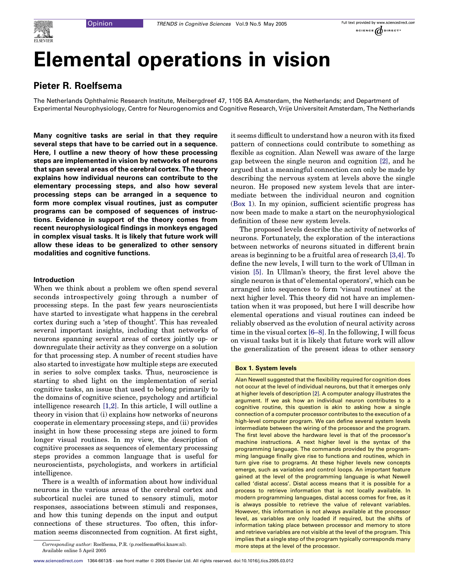# Elemental operations in vision

# Pieter R. Roelfsema

The Netherlands Ophthalmic Research Institute, Meibergdreef 47, 1105 BA Amsterdam, the Netherlands; and Department of Experimental Neurophysiology, Centre for Neurogenomics and Cognitive Research, Vrije Universiteit Amsterdam, The Netherlands

Many cognitive tasks are serial in that they require several steps that have to be carried out in a sequence. Here, I outline a new theory of how these processing steps are implemented in vision by networks of neurons that span several areas of the cerebral cortex. The theory explains how individual neurons can contribute to the elementary processing steps, and also how several processing steps can be arranged in a sequence to form more complex visual routines, just as computer programs can be composed of sequences of instructions. Evidence in support of the theory comes from recent neurophysiological findings in monkeys engaged in complex visual tasks. It is likely that future work will allow these ideas to be generalized to other sensory modalities and cognitive functions.

## Introduction

When we think about a problem we often spend several seconds introspectively going through a number of processing steps. In the past few years neuroscientists have started to investigate what happens in the cerebral cortex during such a 'step of thought'. This has revealed several important insights, including that networks of neurons spanning several areas of cortex jointly up- or downregulate their activity as they converge on a solution for that processing step. A number of recent studies have also started to investigate how multiple steps are executed in series to solve complex tasks. Thus, neuroscience is starting to shed light on the implementation of serial cognitive tasks, an issue that used to belong primarily to the domains of cognitive science, psychology and artificial intelligence research [\[1,2\].](#page-6-0) In this article, I will outline a theory in vision that (i) explains how networks of neurons cooperate in elementary processing steps, and (ii) provides insight in how these processing steps are joined to form longer visual routines. In my view, the description of cognitive processes as sequences of elementary processing steps provides a common language that is useful for neuroscientists, psychologists, and workers in artificial intelligence.

There is a wealth of information about how individual neurons in the various areas of the cerebral cortex and subcortical nuclei are tuned to sensory stimuli, motor responses, associations between stimuli and responses, and how this tuning depends on the input and output connections of these structures. Too often, this information seems disconnected from cognition. At first sight, it seems difficult to understand how a neuron with its fixed pattern of connections could contribute to something as flexible as cognition. Alan Newell was aware of the large gap between the single neuron and cognition [\[2\],](#page-6-0) and he argued that a meaningful connection can only be made by describing the nervous system at levels above the single neuron. He proposed new system levels that are intermediate between the individual neuron and cognition (Box 1). In my opinion, sufficient scientific progress has now been made to make a start on the neurophysiological definition of these new system levels.

The proposed levels describe the activity of networks of neurons. Fortunately, the exploration of the interactions between networks of neurons situated in different brain areas is beginning to be a fruitful area of research [\[3,4\].](#page-6-0) To define the new levels, I will turn to the work of Ullman in vision [\[5\].](#page-6-0) In Ullman's theory, the first level above the single neuron is that of 'elemental operators', which can be arranged into sequences to form 'visual routines' at the next higher level. This theory did not have an implementation when it was proposed, but here I will describe how elemental operations and visual routines can indeed be reliably observed as the evolution of neural activity across time in the visual cortex [\[6–8\].](#page-6-0) In the following, I will focus on visual tasks but it is likely that future work will allow the generalization of the present ideas to other sensory

#### Box 1. System levels

Alan Newell suggested that the flexibility required for cognition does not occur at the level of individual neurons, but that it emerges only at higher levels of description [\[2\]](#page-6-0). A computer analogy illustrates the argument. If we ask how an individual neuron contributes to a cognitive routine, this question is akin to asking how a single connection of a computer processor contributes to the execution of a high-level computer program. We can define several system levels intermediate between the wiring of the processor and the program. The first level above the hardware level is that of the processor's machine instructions. A next higher level is the syntax of the programming language. The commands provided by the programming language finally give rise to functions and routines, which in turn give rise to programs. At these higher levels new concepts emerge, such as variables and control loops. An important feature gained at the level of the programming language is what Newell called 'distal access'. Distal access means that it is possible for a process to retrieve information that is not locally available. In modern programming languages, distal access comes for free, as it is always possible to retrieve the value of relevant variables. However, this information is not always available at the processor level, as variables are only loaded if required, but the shifts of information taking place between processor and memory to store and retrieve variables are not visible at the level of the program. This implies that a single step of the program typically corresponds many

more steps at the level of the processor. Corresponding author: Roelfsema, P.R. (p.roelfsema@ioi.knaw.nl). Available online 5 April 2005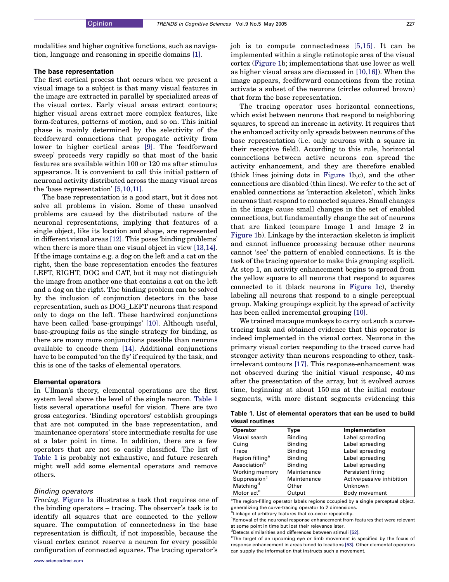<span id="page-1-0"></span>modalities and higher cognitive functions, such as navigation, language and reasoning in specific domains [\[1\].](#page-6-0)

#### The base representation

The first cortical process that occurs when we present a visual image to a subject is that many visual features in the image are extracted in parallel by specialized areas of the visual cortex. Early visual areas extract contours; higher visual areas extract more complex features, like form-features, patterns of motion, and so on. This initial phase is mainly determined by the selectivity of the feedforward connections that propagate activity from lower to higher cortical areas [\[9\].](#page-6-0) The 'feedforward sweep' proceeds very rapidly so that most of the basic features are available within 100 or 120 ms after stimulus appearance. It is convenient to call this initial pattern of neuronal activity distributed across the many visual areas the 'base representation' [\[5,10,11\]](#page-6-0).

The base representation is a good start, but it does not solve all problems in vision. Some of these unsolved problems are caused by the distributed nature of the neuronal representations, implying that features of a single object, like its location and shape, are represented in different visual areas [\[12\]](#page-6-0). This poses 'binding problems' when there is more than one visual object in view [\[13,14\]](#page-6-0). If the image contains e.g. a dog on the left and a cat on the right, then the base representation encodes the features LEFT, RIGHT, DOG and CAT, but it may not distinguish the image from another one that contains a cat on the left and a dog on the right. The binding problem can be solved by the inclusion of conjunction detectors in the base representation, such as DOG\_LEFT neurons that respond only to dogs on the left. These hardwired conjunctions have been called 'base-groupings' [\[10\].](#page-6-0) Although useful, base-grouping fails as the single strategy for binding, as there are many more conjunctions possible than neurons available to encode them [\[14\]](#page-6-0). Additional conjunctions have to be computed 'on the fly' if required by the task, and this is one of the tasks of elemental operators.

## Elemental operators

In Ullman's theory, elemental operations are the first system level above the level of the single neuron. Table 1 lists several operations useful for vision. There are two gross categories. 'Binding operators' establish groupings that are not computed in the base representation, and 'maintenance operators' store intermediate results for use at a later point in time. In addition, there are a few operators that are not so easily classified. The list of Table 1 is probably not exhaustive, and future research might well add some elemental operators and remove others.

## Binding operators

Tracing. [Figure 1a](#page-2-0) illustrates a task that requires one of the binding operators – tracing. The observer's task is to identify all squares that are connected to the yellow square. The computation of connectedness in the base representation is difficult, if not impossible, because the visual cortex cannot reserve a neuron for every possible configuration of connected squares. The tracing operator's

job is to compute connectedness [\[5,15\]](#page-6-0). It can be implemented within a single retinotopic area of the visual cortex [\(Figure 1](#page-2-0)b; implementations that use lower as well as higher visual areas are discussed in [\[10,16\]](#page-6-0)). When the image appears, feedforward connections from the retina activate a subset of the neurons (circles coloured brown) that form the base representation.

The tracing operator uses horizontal connections, which exist between neurons that respond to neighboring squares, to spread an increase in activity. It requires that the enhanced activity only spreads between neurons of the base representation (i.e. only neurons with a square in their receptive field). According to this rule, horizontal connections between active neurons can spread the activity enhancement, and they are therefore enabled (thick lines joining dots in [Figure 1](#page-2-0)b,c), and the other connections are disabled (thin lines). We refer to the set of enabled connections as 'interaction skeleton', which links neurons that respond to connected squares. Small changes in the image cause small changes in the set of enabled connections, but fundamentally change the set of neurons that are linked (compare Image 1 and Image 2 in [Figure 1b](#page-2-0)). Linkage by the interaction skeleton is implicit and cannot influence processing because other neurons cannot 'see' the pattern of enabled connections. It is the task of the tracing operator to make this grouping explicit. At step 1, an activity enhancement begins to spread from the yellow square to all neurons that respond to squares connected to it (black neurons in [Figure 1c](#page-2-0)), thereby labeling all neurons that respond to a single perceptual group. Making groupings explicit by the spread of activity has been called incremental grouping [\[10\]](#page-6-0).

We trained macaque monkeys to carry out such a curvetracing task and obtained evidence that this operator is indeed implemented in the visual cortex. Neurons in the primary visual cortex responding to the traced curve had stronger activity than neurons responding to other, taskirrelevant contours [\[17\]](#page-6-0). This response-enhancement was not observed during the initial visual response, 40 ms after the presentation of the array, but it evolved across time, beginning at about 150 ms at the initial contour segments, with more distant segments evidencing this

Table 1. List of elemental operators that can be used to build visual routines

| <b>Operator</b>             | Type           | Implementation            |
|-----------------------------|----------------|---------------------------|
| Visual search               | <b>Binding</b> | Label spreading           |
| Cuing                       | <b>Binding</b> | Label spreading           |
| Trace                       | Binding        | Label spreading           |
| Region filling <sup>a</sup> | Binding        | Label spreading           |
| Association <sup>b</sup>    | <b>Binding</b> | Label spreading           |
| Working memory              | Maintenance    | Persistent firing         |
| Suppression <sup>c</sup>    | Maintenance    | Active/passive inhibition |
|                             | Other          | Unknown                   |
| Motor act <sup>e</sup>      | Output         | Body movement             |
| Matching <sup>d</sup>       |                |                           |

<sup>a</sup>The region-filling operator labels regions occupied by a single perceptual object, generalizing the curve-tracing operator to 2 dimensions.

<sup>b</sup>Linkage of arbitrary features that co-occur repeatedly.

<sup>c</sup>Removal of the neuronal response enhancement from features that were relevant at some point in time but lost their relevance later.

<sup>e</sup>The target of an upcoming eye or limb movement is specified by the focus of response enhancement in areas tuned to locations [\[53\].](#page-7-0) Other elemental operators can supply the information that instructs such a movement.

d Detects similarities and differences between stimuli [\[52\].](#page-7-0)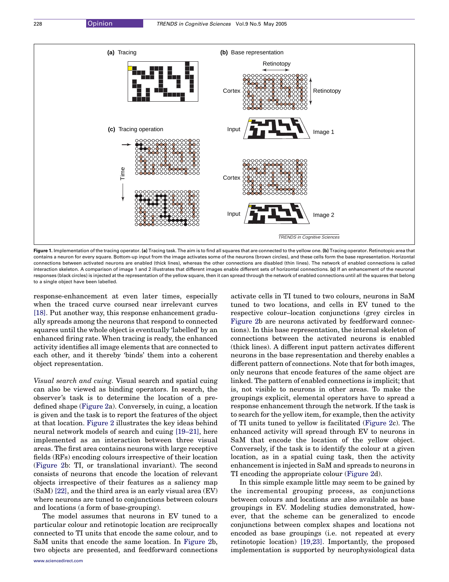<span id="page-2-0"></span>

Figure 1. Implementation of the tracing operator. (a) Tracing task. The aim is to find all squares that are connected to the yellow one. (b) Tracing operator. Retinotopic area that contains a neuron for every square. Bottom-up input from the image activates some of the neurons (brown circles), and these cells form the base representation. Horizontal connections between activated neurons are enabled (thick lines), whereas the other connections are disabled (thin lines). The network of enabled connections is called interaction skeleton. A comparison of image 1 and 2 illustrates that different images enable different sets of horizontal connections. (c) If an enhancement of the neuronal responses (black circles) is injected at the representation of the yellow square, then it can spread through the network of enabled connections until all the squares that belong to a single object have been labelled.

response-enhancement at even later times, especially when the traced curve coursed near irrelevant curves [\[18\].](#page-6-0) Put another way, this response enhancement gradually spreads among the neurons that respond to connected squares until the whole object is eventually 'labelled' by an enhanced firing rate. When tracing is ready, the enhanced activity identifies all image elements that are connected to each other, and it thereby 'binds' them into a coherent object representation.

Visual search and cuing. Visual search and spatial cuing can also be viewed as binding operators. In search, the observer's task is to determine the location of a predefined shape [\(Figure 2](#page-3-0)a). Conversely, in cuing, a location is given and the task is to report the features of the object at that location. [Figure 2](#page-3-0) illustrates the key ideas behind neural network models of search and cuing [\[19–21\],](#page-6-0) here implemented as an interaction between three visual areas. The first area contains neurons with large receptive fields (RFs) encoding colours irrespective of their location ([Figure 2](#page-3-0)b: TI, or translational invariant). The second consists of neurons that encode the location of relevant objects irrespective of their features as a saliency map (SaM) [\[22\]](#page-6-0), and the third area is an early visual area (EV) where neurons are tuned to conjunctions between colours and locations (a form of base-grouping).

The model assumes that neurons in EV tuned to a particular colour and retinotopic location are reciprocally connected to TI units that encode the same colour, and to SaM units that encode the same location. In [Figure 2](#page-3-0)b, two objects are presented, and feedforward connections activate cells in TI tuned to two colours, neurons in SaM tuned to two locations, and cells in EV tuned to the respective colour–location conjunctions (grey circles in [Figure 2b](#page-3-0) are neurons activated by feedforward connections). In this base representation, the internal skeleton of connections between the activated neurons is enabled (thick lines). A different input pattern activates different neurons in the base representation and thereby enables a different pattern of connections. Note that for both images, only neurons that encode features of the same object are linked. The pattern of enabled connections is implicit; that is, not visible to neurons in other areas. To make the groupings explicit, elemental operators have to spread a response enhancement through the network. If the task is to search for the yellow item, for example, then the activity of TI units tuned to yellow is facilitated [\(Figure 2c](#page-3-0)). The enhanced activity will spread through EV to neurons in SaM that encode the location of the yellow object. Conversely, if the task is to identify the colour at a given location, as in a spatial cuing task, then the activity enhancement is injected in SaM and spreads to neurons in TI encoding the appropriate colour [\(Figure 2d](#page-3-0)).

In this simple example little may seem to be gained by the incremental grouping process, as conjunctions between colours and locations are also available as base groupings in EV. Modeling studies demonstrated, however, that the scheme can be generalized to encode conjunctions between complex shapes and locations not encoded as base groupings (i.e. not repeated at every retinotopic location) [\[19,23\].](#page-6-0) Importantly, the proposed implementation is supported by neurophysiological data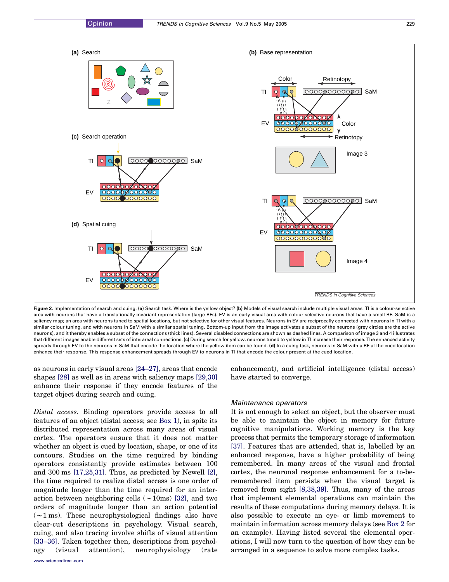<span id="page-3-0"></span>

Figure 2. Implementation of search and cuing. (a) Search task. Where is the yellow object? (b) Models of visual search include multiple visual areas. TI is a colour-selective area with neurons that have a translationally invariant representation (large RFs). EV is an early visual area with colour selective neurons that have a small RF. SaM is a saliency map; an area with neurons tuned to spatial locations, but not selective for other visual features. Neurons in EV are reciprocally connected with neurons in TI with a similar colour tuning, and with neurons in SaM with a similar spatial tuning. Bottom-up input from the image activates a subset of the neurons (grey circles are the active neurons), and it thereby enables a subset of the connections (thick lines). Several disabled connections are shown as dashed lines. A comparison of image 3 and 4 illustrates that different images enable different sets of interareal connections. (c) During search for yellow, neurons tuned to yellow in TI increase their response. The enhanced activity spreads through EV to the neurons in SaM that encode the location where the yellow item can be found. (d) In a cuing task, neurons in SaM with a RF at the cued location enhance their response. This response enhancement spreads through EV to neurons in TI that encode the colour present at the cued location.

as neurons in early visual areas [\[24–27\],](#page-6-0) areas that encode shapes [\[28\]](#page-6-0) as well as in areas with saliency maps [\[29,30\]](#page-6-0) enhance their response if they encode features of the target object during search and cuing.

Distal access. Binding operators provide access to all features of an object (distal access; see Box 1), in spite its distributed representation across many areas of visual cortex. The operators ensure that it does not matter whether an object is cued by location, shape, or one of its contours. Studies on the time required by binding operators consistently provide estimates between 100 and 300 ms [\[17,25,31\].](#page-6-0) Thus, as predicted by Newell [\[2\]](#page-6-0), the time required to realize distal access is one order of magnitude longer than the time required for an interaction between neighboring cells  $(\sim 10 \text{ms})$  [\[32\],](#page-6-0) and two orders of magnitude longer than an action potential  $(\sim 1 \,\text{ms})$ . These neurophysiological findings also have clear-cut descriptions in psychology. Visual search, cuing, and also tracing involve shifts of visual attention [\[33–36\]](#page-7-0). Taken together then, descriptions from psychology (visual attention), neurophysiology (rate enhancement), and artificial intelligence (distal access) have started to converge.

#### Maintenance operators

It is not enough to select an object, but the observer must be able to maintain the object in memory for future cognitive manipulations. Working memory is the key process that permits the temporary storage of information [\[37\].](#page-7-0) Features that are attended, that is, labelled by an enhanced response, have a higher probability of being remembered. In many areas of the visual and frontal cortex, the neuronal response enhancement for a to-beremembered item persists when the visual target is removed from sight [\[8,38,39\].](#page-6-0) Thus, many of the areas that implement elemental operations can maintain the results of these computations during memory delays. It is also possible to execute an eye- or limb movement to maintain information across memory delays (see Box 2 for an example). Having listed several the elemental operations, I will now turn to the question of how they can be arranged in a sequence to solve more complex tasks.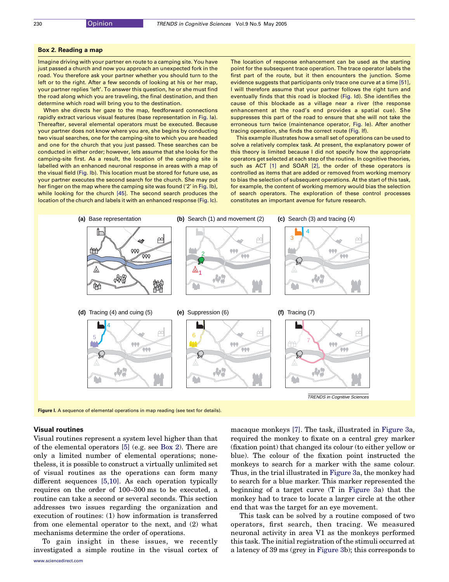#### Box 2. Reading a map

Imagine driving with your partner en route to a camping site. You have just passed a church and now you approach an unexpected fork in the road. You therefore ask your partner whether you should turn to the left or to the right. After a few seconds of looking at his or her map, your partner replies 'left'. To answer this question, he or she must find the road along which you are traveling, the final destination, and then determine which road will bring you to the destination.

When she directs her gaze to the map, feedforward connections rapidly extract various visual features (base representation in Fig. Ia). Thereafter, several elemental operators must be executed. Because your partner does not know where you are, she begins by conducting two visual searches, one for the camping-site to which you are headed and one for the church that you just passed. These searches can be conducted in either order; however, lets assume that she looks for the camping-site first. As a result, the location of the camping site is labelled with an enhanced neuronal response in areas with a map of the visual field (Fig. Ib). This location must be stored for future use, as your partner executes the second search for the church. She may put her finger on the map where the camping site was found ('2' in Fig. Ib), while looking for the church [\[45\]](#page-7-0). The second search produces the location of the church and labels it with an enhanced response (Fig. Ic). The location of response enhancement can be used as the starting point for the subsequent trace operation. The trace operator labels the first part of the route, but it then encounters the junction. Some evidence suggests that participants only trace one curve at a time [\[51\],](#page-7-0) I will therefore assume that your partner follows the right turn and eventually finds that this road is blocked (Fig. Id). She identifies the cause of this blockade as a village near a river (the response enhancement at the road's end provides a spatial cue). She suppresses this part of the road to ensure that she will not take the erroneous turn twice (maintenance operator, Fig. Ie). After another tracing operation, she finds the correct route (Fig. If).

This example illustrates how a small set of operations can be used to solve a relatively complex task. At present, the explanatory power of this theory is limited because I did not specify how the appropriate operators get selected at each step of the routine. In cognitive theories, such as ACT [\[1\]](#page-6-0) and SOAR [\[2\]](#page-6-0), the order of these operators is controlled as items that are added or removed from working memory to bias the selection of subsequent operations. At the start of this task, for example, the content of working memory would bias the selection of search operators. The exploration of these control processes constitutes an important avenue for future research.



Figure I. A sequence of elemental operations in map reading (see text for details).

#### Visual routines

Visual routines represent a system level higher than that of the elemental operators [\[5\]](#page-6-0) (e.g. see Box 2). There are only a limited number of elemental operations; nonetheless, it is possible to construct a virtually unlimited set of visual routines as the operations can form many different sequences [\[5,10\]](#page-6-0). As each operation typically requires on the order of 100–300 ms to be executed, a routine can take a second or several seconds. This section addresses two issues regarding the organization and execution of routines: (1) how information is transferred from one elemental operator to the next, and (2) what mechanisms determine the order of operations.

To gain insight in these issues, we recently investigated a simple routine in the visual cortex of macaque monkeys [\[7\].](#page-6-0) The task, illustrated in [Figure 3a](#page-5-0), required the monkey to fixate on a central grey marker (fixation point) that changed its colour (to either yellow or blue). The colour of the fixation point instructed the monkeys to search for a marker with the same colour. Thus, in the trial illustrated in [Figure 3](#page-5-0)a, the monkey had to search for a blue marker. This marker represented the beginning of a target curve (T in [Figure 3a](#page-5-0)) that the monkey had to trace to locate a larger circle at the other end that was the target for an eye movement.

This task can be solved by a routine composed of two operators, first search, then tracing. We measured neuronal activity in area V1 as the monkeys performed this task. The initial registration of the stimuli occurred at a latency of 39 ms (grey in [Figure 3](#page-5-0)b); this corresponds to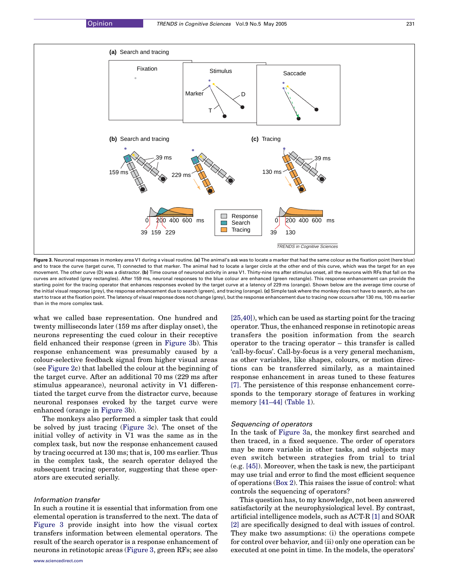<span id="page-5-0"></span>

Figure 3. Neuronal responses in monkey area V1 during a visual routine. (a) The animal's ask was to locate a marker that had the same colour as the fixation point (here blue) and to trace the curve (target curve, T) connected to that marker. The animal had to locate a larger circle at the other end of this curve, which was the target for an eve movement. The other curve (D) was a distractor. (b) Time course of neuronal activity in area V1. Thirty-nine ms after stimulus onset, all the neurons with RFs that fall on the curves are activated (grey rectangles). After 159 ms, neuronal responses to the blue colour are enhanced (green rectangle). This response enhancement can provide the starting point for the tracing operator that enhances responses evoked by the target curve at a latency of 229 ms (orange). Shown below are the average time course of the initial visual response (grey), the response enhancement due to search (green), and tracing (orange). (c) Simple task where the monkey does not have to search, as he can start to trace at the fixation point. The latency of visual response does not change (grey), but the response enhancement due to tracing now occurs after 130 ms, 100 ms earlier than in the more complex task.

what we called base representation. One hundred and twenty milliseconds later (159 ms after display onset), the neurons representing the cued colour in their receptive field enhanced their response (green in Figure 3b). This response enhancement was presumably caused by a colour-selective feedback signal from higher visual areas (see [Figure 2](#page-3-0)c) that labelled the colour at the beginning of the target curve. After an additional 70 ms (229 ms after stimulus appearance), neuronal activity in V1 differentiated the target curve from the distractor curve, because neuronal responses evoked by the target curve were enhanced (orange in Figure 3b).

The monkeys also performed a simpler task that could be solved by just tracing (Figure 3c). The onset of the initial volley of activity in V1 was the same as in the complex task, but now the response enhancement caused by tracing occurred at 130 ms; that is, 100 ms earlier. Thus in the complex task, the search operator delayed the subsequent tracing operator, suggesting that these operators are executed serially.

#### Information transfer

In such a routine it is essential that information from one elemental operation is transferred to the next. The data of Figure 3 provide insight into how the visual cortex transfers information between elemental operators. The result of the search operator is a response enhancement of neurons in retinotopic areas (Figure 3, green RFs; see also

[\[25,40\]\)](#page-6-0), which can be used as starting point for the tracing operator. Thus, the enhanced response in retinotopic areas transfers the position information from the search operator to the tracing operator – this transfer is called 'call-by-focus'. Call-by-focus is a very general mechanism, as other variables, like shapes, colours, or motion directions can be transferred similarly, as a maintained response enhancement in areas tuned to these features [\[7\]](#page-6-0). The persistence of this response enhancement corresponds to the temporary storage of features in working memory [\[41–44\]](#page-7-0) ([Table 1\)](#page-1-0).

#### Sequencing of operators

In the task of Figure 3a, the monkey first searched and then traced, in a fixed sequence. The order of operators may be more variable in other tasks, and subjects may even switch between strategies from trial to trial (e.g. [\[45\]](#page-7-0)). Moreover, when the task is new, the participant may use trial and error to find the most efficient sequence of operations (Box 2). This raises the issue of control: what controls the sequencing of operators?

This question has, to my knowledge, not been answered satisfactorily at the neurophysiological level. By contrast, artificial intelligence models, such as ACT-R [\[1\]](#page-6-0) and SOAR [\[2\]](#page-6-0) are specifically designed to deal with issues of control. They make two assumptions: (i) the operations compete for control over behavior, and (ii) only one operation can be executed at one point in time. In the models, the operators'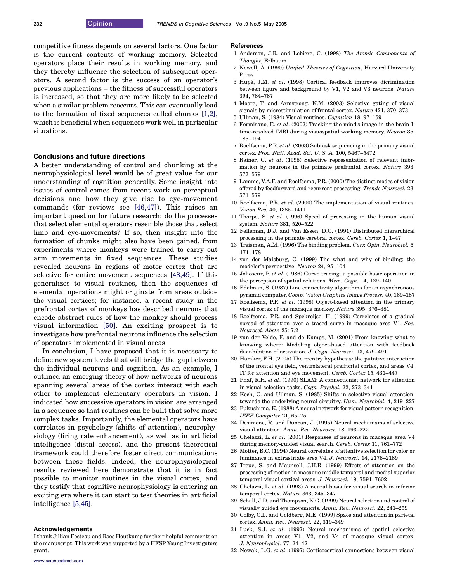<span id="page-6-0"></span>competitive fitness depends on several factors. One factor is the current contents of working memory. Selected operators place their results in working memory, and they thereby influence the selection of subsequent operators. A second factor is the success of an operator's previous applications – the fitness of successful operators is increased, so that they are more likely to be selected when a similar problem reoccurs. This can eventually lead to the formation of fixed sequences called chunks [1,2], which is beneficial when sequences work well in particular situations.

#### Conclusions and future directions

A better understanding of control and chunking at the neurophysiological level would be of great value for our understanding of cognition generally. Some insight into issues of control comes from recent work on perceptual decisions and how they give rise to eye-movement commands (for reviews see [\[46,47\]](#page-7-0)). This raises an important question for future research: do the processes that select elemental operators resemble those that select limb and eye-movements? If so, then insight into the formation of chunks might also have been gained, from experiments where monkeys were trained to carry out arm movements in fixed sequences. These studies revealed neurons in regions of motor cortex that are selective for entire movement sequences [\[48,49\]](#page-7-0). If this generalizes to visual routines, then the sequences of elemental operations might originate from areas outside the visual cortices; for instance, a recent study in the prefrontal cortex of monkeys has described neurons that encode abstract rules of how the monkey should process visual information [\[50\]](#page-7-0). An exciting prospect is to investigate how prefrontal neurons influence the selection of operators implemented in visual areas.

In conclusion, I have proposed that it is necessary to define new system levels that will bridge the gap between the individual neurons and cognition. As an example, I outlined an emerging theory of how networks of neurons spanning several areas of the cortex interact with each other to implement elementary operators in vision. I indicated how successive operators in vision are arranged in a sequence so that routines can be built that solve more complex tasks. Importantly, the elemental operators have correlates in psychology (shifts of attention), neurophysiology (firing rate enhancement), as well as in artificial intelligence (distal access), and the present theoretical framework could therefore foster direct communications between these fields. Indeed, the neurophysiological results reviewed here demonstrate that it is in fact possible to monitor routines in the visual cortex, and they testify that cognitive neurophysiology is entering an exciting era where it can start to test theories in artificial intelligence [5,45].

#### Acknowledgements

I thank Jillian Fecteau and Roos Houtkamp for their helpful comments on the manuscript. This work was supported by a HFSP Young Investigators grant.

#### **References**

- 1 Anderson, J.R. and Lebiere, C. (1998) The Atomic Components of Thought, Erlbaum
- 2 Newell, A. (1990) Unified Theories of Cognition, Harvard University Press
- 3 Hupé, J.M. et al. (1998) Cortical feedback improves dicrimination between figure and background by V1, V2 and V3 neurons. Nature 394, 784–787
- 4 Moore, T. and Armstrong, K.M. (2003) Selective gating of visual signals by microstimulation of frontal cortex. Nature 421, 370–373
- 5 Ullman, S. (1984) Visual routines. Cognition 18, 97–159
- 6 Formisano, E. et al. (2002) Tracking the mind's image in the brain I: time-resolved fMRI during visuospatial working memory. Neuron 35, 185–194
- 7 Roelfsema, P.R. et al. (2003) Subtask sequencing in the primary visual cortex. Proc. Natl. Acad. Sci. U. S. A. 100, 5467–5472
- 8 Rainer, G. et al. (1998) Selective representation of relevant information by neurons in the primate prefrontal cortex. Nature 393, 577–579
- 9 Lamme, V.A.F. and Roelfsema, P.R. (2000) The distinct modes of vision offered by feedforward and recurrent processing. Trends Neurosci. 23, 571–579
- 10 Roelfsema, P.R. et al. (2000) The implementation of visual routines. Vision Res. 40, 1385–1411
- 11 Thorpe, S. et al. (1996) Speed of processing in the human visual system. Nature 381, 520–522
- 12 Felleman, D.J. and Van Essen, D.C. (1991) Distributed hierarchical processing in the primate cerebral cortex. Cereb. Cortex 1, 1–47
- 13 Treisman, A.M. (1996) The binding problem. Curr. Opin. Neurobiol. 6, 171–178
- 14 von der Malsburg, C. (1999) The what and why of binding: the modeler's perspective. Neuron 24, 95–104
- 15 Jolicoeur, P. et al. (1986) Curve tracing: a possible basic operation in the perception of spatial relations. Mem. Cogn. 14, 129–140
- 16 Edelman, S. (1987) Line connectivity algorithms for an asynchronous pyramid computer. Comp. Vision Graphics Image Process. 40, 169–187
- 17 Roelfsema, P.R. et al. (1998) Object-based attention in the primary visual cortex of the macaque monkey. Nature 395, 376–381
- 18 Roelfsema, P.R. and Spekreijse, H. (1999) Correlates of a gradual spread of attention over a traced curve in macaque area V1. Soc. Neurosci. Abstr. 25: 7.2
- 19 van der Velde, F. and de Kamps, M. (2001) From knowing what to knowing where: Modeling object-based attention with feedback disinhibition of activation. J. Cogn. Neurosci. 13, 479–491
- 20 Hamker, F.H. (2005) The reentry hypothesis: the putative interaction of the frontal eye field, ventrolateral prefrontal cortex, and areas V4, IT for attention and eye movement. Cereb. Cortex 15, 431–447
- 21 Phaf, R.H. et al. (1990) SLAM: A connectionist network for attention in visual selection tasks. Cogn. Psychol. 22, 273–341
- 22 Koch, C. and Ullman, S. (1985) Shifts in selective visual attention: towards the underlying neural circuitry. Hum. Neurobiol. 4, 219–227
- 23 Fukushima, K. (1988) A neural network for visual pattern recognition. IEEE Computer 21, 65–75
- 24 Desimone, R. and Duncan, J. (1995) Neural mechanisms of selective visual attention. Annu. Rev. Neurosci. 18, 193–222
- 25 Chelazzi, L. et al. (2001) Responses of neurons in macaque area V4 during memory-guided visual search. Cereb. Cortex 11, 761–772
- 26 Motter, B.C. (1994) Neural correlates of attentive selection for color or luminance in extrastriate area V4. J. Neurosci. 14, 2178–2189
- 27 Treue, S. and Maunsell, J.H.R. (1999) Effects of attention on the processing of motion in macaque middle temporal and medial superior temporal visual cortical areas. J. Neurosci. 19, 7591–7602
- 28 Chelazzi, L. et al. (1993) A neural basis for visual search in inferior temporal cortex. Nature 363, 345–347
- 29 Schall, J.D. and Thompson, K.G. (1999) Neural selection and control of visually guided eye movements. Annu. Rev. Neurosci. 22, 241–259
- 30 Colby, C.L. and Goldberg, M.E. (1999) Space and attention in parietal cortex. Annu. Rev. Neurosci. 22, 319–349
- 31 Luck, S.J. et al. (1997) Neural mechanisms of spatial selective attention in areas V1, V2, and V4 of macaque visual cortex. J. Neurophysiol. 77, 24–42
- 32 Nowak, L.G. et al. (1997) Corticocortical connections between visual